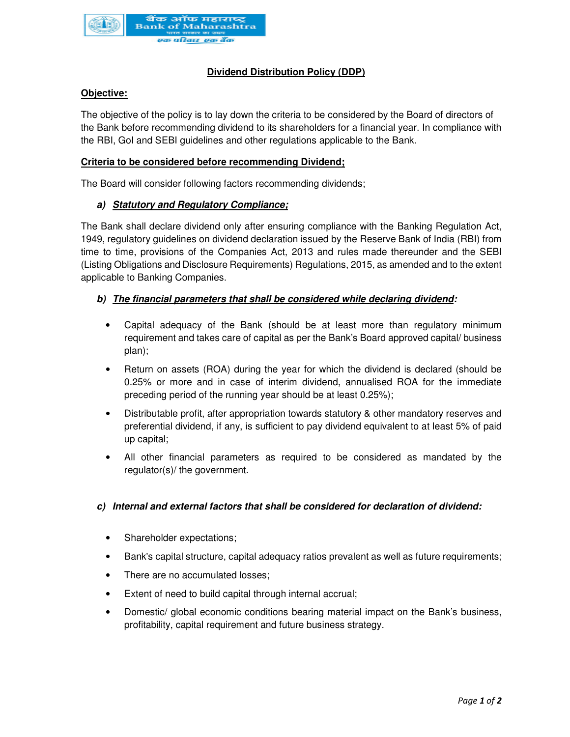

# **Dividend Distribution Policy (DDP)**

# **Objective:**

The objective of the policy is to lay down the criteria to be considered by the Board of directors of the Bank before recommending dividend to its shareholders for a financial year. In compliance with the RBI, GoI and SEBI guidelines and other regulations applicable to the Bank.

### **Criteria to be considered before recommending Dividend;**

The Board will consider following factors recommending dividends;

### **a) Statutory and Regulatory Compliance;**

The Bank shall declare dividend only after ensuring compliance with the Banking Regulation Act, 1949, regulatory guidelines on dividend declaration issued by the Reserve Bank of India (RBI) from time to time, provisions of the Companies Act, 2013 and rules made thereunder and the SEBI (Listing Obligations and Disclosure Requirements) Regulations, 2015, as amended and to the extent applicable to Banking Companies.

### **b) The financial parameters that shall be considered while declaring dividend:**

- Capital adequacy of the Bank (should be at least more than regulatory minimum requirement and takes care of capital as per the Bank's Board approved capital/ business plan);
- Return on assets (ROA) during the year for which the dividend is declared (should be 0.25% or more and in case of interim dividend, annualised ROA for the immediate preceding period of the running year should be at least 0.25%);
- Distributable profit, after appropriation towards statutory & other mandatory reserves and preferential dividend, if any, is sufficient to pay dividend equivalent to at least 5% of paid up capital;
- All other financial parameters as required to be considered as mandated by the regulator(s)/ the government.

### **c) Internal and external factors that shall be considered for declaration of dividend:**

- Shareholder expectations;
- Bank's capital structure, capital adequacy ratios prevalent as well as future requirements;
- There are no accumulated losses;
- Extent of need to build capital through internal accrual;
- Domestic/ global economic conditions bearing material impact on the Bank's business, profitability, capital requirement and future business strategy.